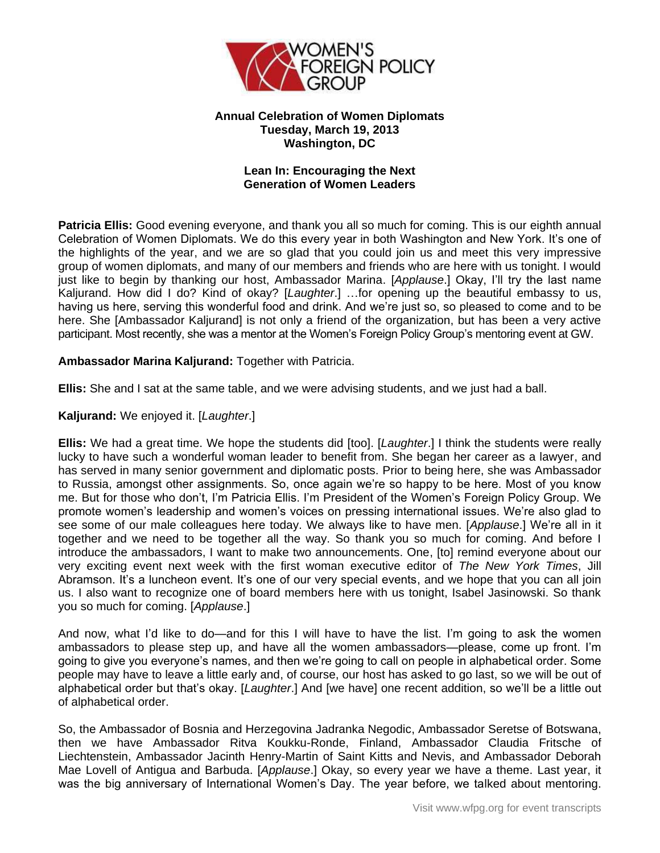

# **Annual Celebration of Women Diplomats Tuesday, March 19, 2013 Washington, DC**

## **Lean In: Encouraging the Next Generation of Women Leaders**

**Patricia Ellis:** Good evening everyone, and thank you all so much for coming. This is our eighth annual Celebration of Women Diplomats. We do this every year in both Washington and New York. It's one of the highlights of the year, and we are so glad that you could join us and meet this very impressive group of women diplomats, and many of our members and friends who are here with us tonight. I would just like to begin by thanking our host, Ambassador Marina. [*Applause*.] Okay, I'll try the last name Kaljurand. How did I do? Kind of okay? [*Laughter*.] …for opening up the beautiful embassy to us, having us here, serving this wonderful food and drink. And we're just so, so pleased to come and to be here. She [Ambassador Kaljurand] is not only a friend of the organization, but has been a very active participant. Most recently, she was a mentor at the Women's Foreign Policy Group's mentoring event at GW.

## **Ambassador Marina Kaljurand:** Together with Patricia.

**Ellis:** She and I sat at the same table, and we were advising students, and we just had a ball.

## **Kaljurand:** We enjoyed it. [*Laughter*.]

**Ellis:** We had a great time. We hope the students did [too]. [*Laughter*.] I think the students were really lucky to have such a wonderful woman leader to benefit from. She began her career as a lawyer, and has served in many senior government and diplomatic posts. Prior to being here, she was Ambassador to Russia, amongst other assignments. So, once again we're so happy to be here. Most of you know me. But for those who don't, I'm Patricia Ellis. I'm President of the Women's Foreign Policy Group. We promote women's leadership and women's voices on pressing international issues. We're also glad to see some of our male colleagues here today. We always like to have men. [*Applause*.] We're all in it together and we need to be together all the way. So thank you so much for coming. And before I introduce the ambassadors, I want to make two announcements. One, [to] remind everyone about our very exciting event next week with the first woman executive editor of *The New York Times*, Jill Abramson. It's a luncheon event. It's one of our very special events, and we hope that you can all join us. I also want to recognize one of board members here with us tonight, Isabel Jasinowski. So thank you so much for coming. [*Applause*.]

And now, what I'd like to do—and for this I will have to have the list. I'm going to ask the women ambassadors to please step up, and have all the women ambassadors—please, come up front. I'm going to give you everyone's names, and then we're going to call on people in alphabetical order. Some people may have to leave a little early and, of course, our host has asked to go last, so we will be out of alphabetical order but that's okay. [*Laughter*.] And [we have] one recent addition, so we'll be a little out of alphabetical order.

So, the Ambassador of Bosnia and Herzegovina Jadranka Negodic, Ambassador Seretse of Botswana, then we have Ambassador Ritva Koukku-Ronde, Finland, Ambassador Claudia Fritsche of Liechtenstein, Ambassador Jacinth Henry-Martin of Saint Kitts and Nevis, and Ambassador Deborah Mae Lovell of Antigua and Barbuda. [*Applause*.] Okay, so every year we have a theme. Last year, it was the big anniversary of International Women's Day. The year before, we talked about mentoring.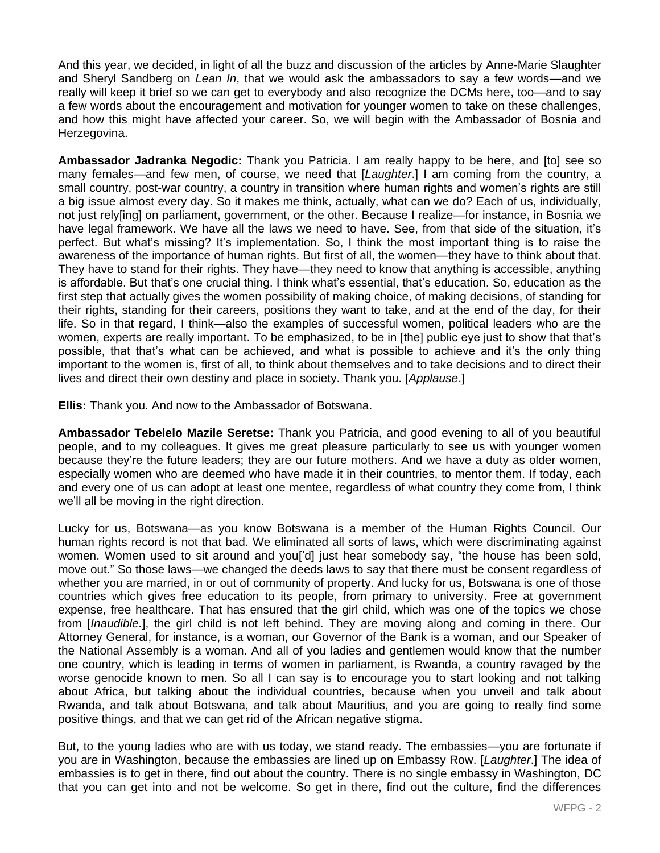And this year, we decided, in light of all the buzz and discussion of the articles by Anne-Marie Slaughter and Sheryl Sandberg on *Lean In*, that we would ask the ambassadors to say a few words—and we really will keep it brief so we can get to everybody and also recognize the DCMs here, too—and to say a few words about the encouragement and motivation for younger women to take on these challenges, and how this might have affected your career. So, we will begin with the Ambassador of Bosnia and Herzegovina.

**Ambassador Jadranka Negodic:** Thank you Patricia. I am really happy to be here, and [to] see so many females—and few men, of course, we need that [*Laughter*.] I am coming from the country, a small country, post-war country, a country in transition where human rights and women's rights are still a big issue almost every day. So it makes me think, actually, what can we do? Each of us, individually, not just rely[ing] on parliament, government, or the other. Because I realize—for instance, in Bosnia we have legal framework. We have all the laws we need to have. See, from that side of the situation, it's perfect. But what's missing? It's implementation. So, I think the most important thing is to raise the awareness of the importance of human rights. But first of all, the women—they have to think about that. They have to stand for their rights. They have—they need to know that anything is accessible, anything is affordable. But that's one crucial thing. I think what's essential, that's education. So, education as the first step that actually gives the women possibility of making choice, of making decisions, of standing for their rights, standing for their careers, positions they want to take, and at the end of the day, for their life. So in that regard, I think—also the examples of successful women, political leaders who are the women, experts are really important. To be emphasized, to be in [the] public eye just to show that that's possible, that that's what can be achieved, and what is possible to achieve and it's the only thing important to the women is, first of all, to think about themselves and to take decisions and to direct their lives and direct their own destiny and place in society. Thank you. [*Applause*.]

**Ellis:** Thank you. And now to the Ambassador of Botswana.

**Ambassador Tebelelo Mazile Seretse:** Thank you Patricia, and good evening to all of you beautiful people, and to my colleagues. It gives me great pleasure particularly to see us with younger women because they're the future leaders; they are our future mothers. And we have a duty as older women, especially women who are deemed who have made it in their countries, to mentor them. If today, each and every one of us can adopt at least one mentee, regardless of what country they come from, I think we'll all be moving in the right direction.

Lucky for us, Botswana—as you know Botswana is a member of the Human Rights Council. Our human rights record is not that bad. We eliminated all sorts of laws, which were discriminating against women. Women used to sit around and you['d] just hear somebody say, "the house has been sold, move out." So those laws—we changed the deeds laws to say that there must be consent regardless of whether you are married, in or out of community of property. And lucky for us, Botswana is one of those countries which gives free education to its people, from primary to university. Free at government expense, free healthcare. That has ensured that the girl child, which was one of the topics we chose from [*Inaudible.*], the girl child is not left behind. They are moving along and coming in there. Our Attorney General, for instance, is a woman, our Governor of the Bank is a woman, and our Speaker of the National Assembly is a woman. And all of you ladies and gentlemen would know that the number one country, which is leading in terms of women in parliament, is Rwanda, a country ravaged by the worse genocide known to men. So all I can say is to encourage you to start looking and not talking about Africa, but talking about the individual countries, because when you unveil and talk about Rwanda, and talk about Botswana, and talk about Mauritius, and you are going to really find some positive things, and that we can get rid of the African negative stigma.

But, to the young ladies who are with us today, we stand ready. The embassies—you are fortunate if you are in Washington, because the embassies are lined up on Embassy Row. [*Laughter*.] The idea of embassies is to get in there, find out about the country. There is no single embassy in Washington, DC that you can get into and not be welcome. So get in there, find out the culture, find the differences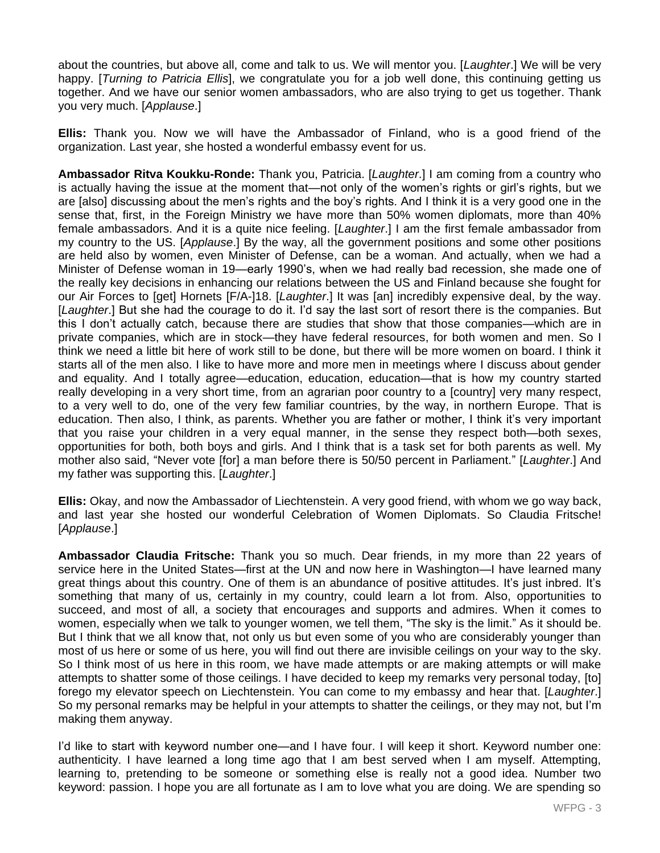about the countries, but above all, come and talk to us. We will mentor you. [*Laughter*.] We will be very happy. [*Turning to Patricia Ellis*], we congratulate you for a job well done, this continuing getting us together. And we have our senior women ambassadors, who are also trying to get us together. Thank you very much. [*Applause*.]

**Ellis:** Thank you. Now we will have the Ambassador of Finland, who is a good friend of the organization. Last year, she hosted a wonderful embassy event for us.

**Ambassador Ritva Koukku-Ronde:** Thank you, Patricia. [*Laughter*.] I am coming from a country who is actually having the issue at the moment that—not only of the women's rights or girl's rights, but we are [also] discussing about the men's rights and the boy's rights. And I think it is a very good one in the sense that, first, in the Foreign Ministry we have more than 50% women diplomats, more than 40% female ambassadors. And it is a quite nice feeling. [*Laughter*.] I am the first female ambassador from my country to the US. [*Applause*.] By the way, all the government positions and some other positions are held also by women, even Minister of Defense, can be a woman. And actually, when we had a Minister of Defense woman in 19—early 1990's, when we had really bad recession, she made one of the really key decisions in enhancing our relations between the US and Finland because she fought for our Air Forces to [get] Hornets [F/A-]18. [*Laughter*.] It was [an] incredibly expensive deal, by the way. [*Laughter*.] But she had the courage to do it. I'd say the last sort of resort there is the companies. But this I don't actually catch, because there are studies that show that those companies—which are in private companies, which are in stock—they have federal resources, for both women and men. So I think we need a little bit here of work still to be done, but there will be more women on board. I think it starts all of the men also. I like to have more and more men in meetings where I discuss about gender and equality. And I totally agree—education, education, education—that is how my country started really developing in a very short time, from an agrarian poor country to a [country] very many respect, to a very well to do, one of the very few familiar countries, by the way, in northern Europe. That is education. Then also, I think, as parents. Whether you are father or mother, I think it's very important that you raise your children in a very equal manner, in the sense they respect both—both sexes, opportunities for both, both boys and girls. And I think that is a task set for both parents as well. My mother also said, "Never vote [for] a man before there is 50/50 percent in Parliament." [*Laughter*.] And my father was supporting this. [*Laughter*.]

**Ellis:** Okay, and now the Ambassador of Liechtenstein. A very good friend, with whom we go way back, and last year she hosted our wonderful Celebration of Women Diplomats. So Claudia Fritsche! [*Applause*.]

**Ambassador Claudia Fritsche:** Thank you so much. Dear friends, in my more than 22 years of service here in the United States—first at the UN and now here in Washington—I have learned many great things about this country. One of them is an abundance of positive attitudes. It's just inbred. It's something that many of us, certainly in my country, could learn a lot from. Also, opportunities to succeed, and most of all, a society that encourages and supports and admires. When it comes to women, especially when we talk to younger women, we tell them, "The sky is the limit." As it should be. But I think that we all know that, not only us but even some of you who are considerably younger than most of us here or some of us here, you will find out there are invisible ceilings on your way to the sky. So I think most of us here in this room, we have made attempts or are making attempts or will make attempts to shatter some of those ceilings. I have decided to keep my remarks very personal today, [to] forego my elevator speech on Liechtenstein. You can come to my embassy and hear that. [*Laughter*.] So my personal remarks may be helpful in your attempts to shatter the ceilings, or they may not, but I'm making them anyway.

I'd like to start with keyword number one—and I have four. I will keep it short. Keyword number one: authenticity. I have learned a long time ago that I am best served when I am myself. Attempting, learning to, pretending to be someone or something else is really not a good idea. Number two keyword: passion. I hope you are all fortunate as I am to love what you are doing. We are spending so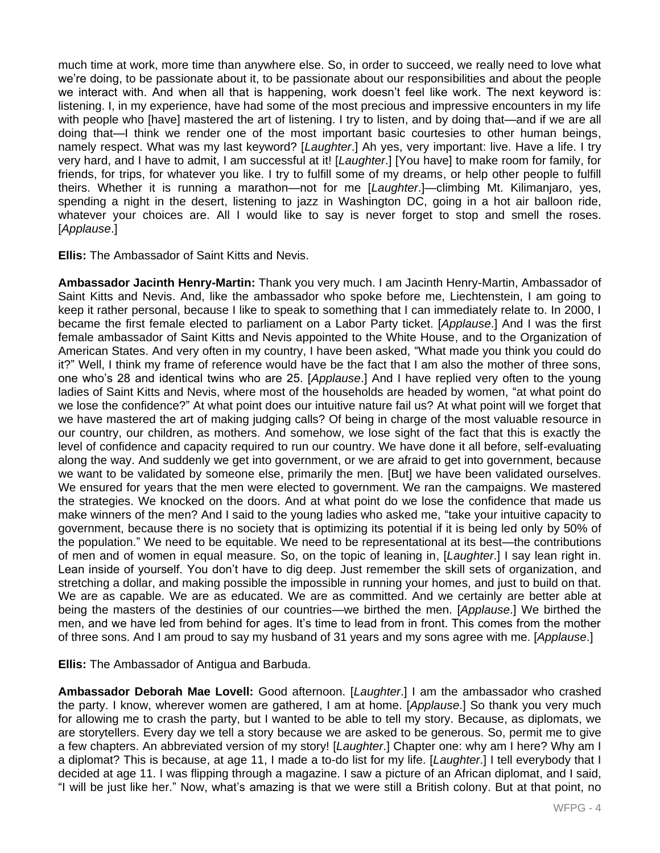much time at work, more time than anywhere else. So, in order to succeed, we really need to love what we're doing, to be passionate about it, to be passionate about our responsibilities and about the people we interact with. And when all that is happening, work doesn't feel like work. The next keyword is: listening. I, in my experience, have had some of the most precious and impressive encounters in my life with people who [have] mastered the art of listening. I try to listen, and by doing that—and if we are all doing that—I think we render one of the most important basic courtesies to other human beings, namely respect. What was my last keyword? [*Laughter*.] Ah yes, very important: live. Have a life. I try very hard, and I have to admit, I am successful at it! [*Laughter*.] [You have] to make room for family, for friends, for trips, for whatever you like. I try to fulfill some of my dreams, or help other people to fulfill theirs. Whether it is running a marathon—not for me [*Laughter*.]—climbing Mt. Kilimanjaro, yes, spending a night in the desert, listening to jazz in Washington DC, going in a hot air balloon ride, whatever your choices are. All I would like to say is never forget to stop and smell the roses. [*Applause*.]

**Ellis:** The Ambassador of Saint Kitts and Nevis.

**Ambassador Jacinth Henry-Martin:** Thank you very much. I am Jacinth Henry-Martin, Ambassador of Saint Kitts and Nevis. And, like the ambassador who spoke before me, Liechtenstein, I am going to keep it rather personal, because I like to speak to something that I can immediately relate to. In 2000, I became the first female elected to parliament on a Labor Party ticket. [*Applause*.] And I was the first female ambassador of Saint Kitts and Nevis appointed to the White House, and to the Organization of American States. And very often in my country, I have been asked, "What made you think you could do it?" Well, I think my frame of reference would have be the fact that I am also the mother of three sons, one who's 28 and identical twins who are 25. [*Applause*.] And I have replied very often to the young ladies of Saint Kitts and Nevis, where most of the households are headed by women, "at what point do we lose the confidence?" At what point does our intuitive nature fail us? At what point will we forget that we have mastered the art of making judging calls? Of being in charge of the most valuable resource in our country, our children, as mothers. And somehow, we lose sight of the fact that this is exactly the level of confidence and capacity required to run our country. We have done it all before, self-evaluating along the way. And suddenly we get into government, or we are afraid to get into government, because we want to be validated by someone else, primarily the men. [But] we have been validated ourselves. We ensured for years that the men were elected to government. We ran the campaigns. We mastered the strategies. We knocked on the doors. And at what point do we lose the confidence that made us make winners of the men? And I said to the young ladies who asked me, "take your intuitive capacity to government, because there is no society that is optimizing its potential if it is being led only by 50% of the population." We need to be equitable. We need to be representational at its best—the contributions of men and of women in equal measure. So, on the topic of leaning in, [*Laughter*.] I say lean right in. Lean inside of yourself. You don't have to dig deep. Just remember the skill sets of organization, and stretching a dollar, and making possible the impossible in running your homes, and just to build on that. We are as capable. We are as educated. We are as committed. And we certainly are better able at being the masters of the destinies of our countries—we birthed the men. [*Applause*.] We birthed the men, and we have led from behind for ages. It's time to lead from in front. This comes from the mother of three sons. And I am proud to say my husband of 31 years and my sons agree with me. [*Applause*.]

**Ellis:** The Ambassador of Antigua and Barbuda.

**Ambassador Deborah Mae Lovell:** Good afternoon. [*Laughter*.] I am the ambassador who crashed the party. I know, wherever women are gathered, I am at home. [*Applause*.] So thank you very much for allowing me to crash the party, but I wanted to be able to tell my story. Because, as diplomats, we are storytellers. Every day we tell a story because we are asked to be generous. So, permit me to give a few chapters. An abbreviated version of my story! [*Laughter*.] Chapter one: why am I here? Why am I a diplomat? This is because, at age 11, I made a to-do list for my life. [*Laughter*.] I tell everybody that I decided at age 11. I was flipping through a magazine. I saw a picture of an African diplomat, and I said, "I will be just like her." Now, what's amazing is that we were still a British colony. But at that point, no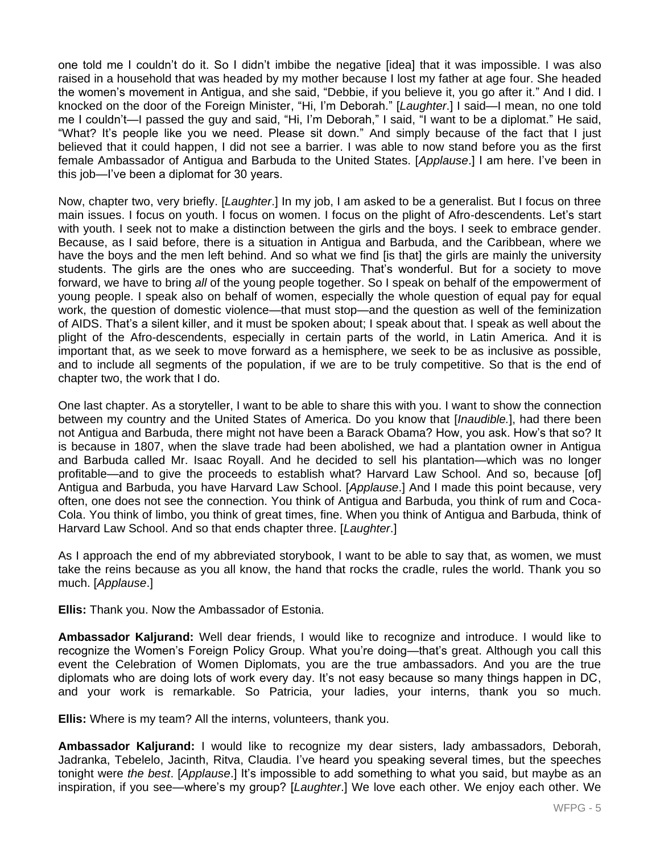one told me I couldn't do it. So I didn't imbibe the negative [idea] that it was impossible. I was also raised in a household that was headed by my mother because I lost my father at age four. She headed the women's movement in Antigua, and she said, "Debbie, if you believe it, you go after it." And I did. I knocked on the door of the Foreign Minister, "Hi, I'm Deborah." [*Laughter*.] I said—I mean, no one told me I couldn't—I passed the guy and said, "Hi, I'm Deborah," I said, "I want to be a diplomat." He said, "What? It's people like you we need. Please sit down." And simply because of the fact that I just believed that it could happen, I did not see a barrier. I was able to now stand before you as the first female Ambassador of Antigua and Barbuda to the United States. [*Applause*.] I am here. I've been in this job—I've been a diplomat for 30 years.

Now, chapter two, very briefly. [*Laughter*.] In my job, I am asked to be a generalist. But I focus on three main issues. I focus on youth. I focus on women. I focus on the plight of Afro-descendents. Let's start with youth. I seek not to make a distinction between the girls and the boys. I seek to embrace gender. Because, as I said before, there is a situation in Antigua and Barbuda, and the Caribbean, where we have the boys and the men left behind. And so what we find [is that] the girls are mainly the university students. The girls are the ones who are succeeding. That's wonderful. But for a society to move forward, we have to bring *all* of the young people together. So I speak on behalf of the empowerment of young people. I speak also on behalf of women, especially the whole question of equal pay for equal work, the question of domestic violence—that must stop—and the question as well of the feminization of AIDS. That's a silent killer, and it must be spoken about; I speak about that. I speak as well about the plight of the Afro-descendents, especially in certain parts of the world, in Latin America. And it is important that, as we seek to move forward as a hemisphere, we seek to be as inclusive as possible, and to include all segments of the population, if we are to be truly competitive. So that is the end of chapter two, the work that I do.

One last chapter. As a storyteller, I want to be able to share this with you. I want to show the connection between my country and the United States of America. Do you know that [*Inaudible.*], had there been not Antigua and Barbuda, there might not have been a Barack Obama? How, you ask. How's that so? It is because in 1807, when the slave trade had been abolished, we had a plantation owner in Antigua and Barbuda called Mr. Isaac Royall. And he decided to sell his plantation—which was no longer profitable—and to give the proceeds to establish what? Harvard Law School. And so, because [of] Antigua and Barbuda, you have Harvard Law School. [*Applause*.] And I made this point because, very often, one does not see the connection. You think of Antigua and Barbuda, you think of rum and Coca-Cola. You think of limbo, you think of great times, fine. When you think of Antigua and Barbuda, think of Harvard Law School. And so that ends chapter three. [*Laughter*.]

As I approach the end of my abbreviated storybook, I want to be able to say that, as women, we must take the reins because as you all know, the hand that rocks the cradle, rules the world. Thank you so much. [*Applause*.]

**Ellis:** Thank you. Now the Ambassador of Estonia.

**Ambassador Kaljurand:** Well dear friends, I would like to recognize and introduce. I would like to recognize the Women's Foreign Policy Group. What you're doing—that's great. Although you call this event the Celebration of Women Diplomats, you are the true ambassadors. And you are the true diplomats who are doing lots of work every day. It's not easy because so many things happen in DC, and your work is remarkable. So Patricia, your ladies, your interns, thank you so much.

**Ellis:** Where is my team? All the interns, volunteers, thank you.

**Ambassador Kaljurand:** I would like to recognize my dear sisters, lady ambassadors, Deborah, Jadranka, Tebelelo, Jacinth, Ritva, Claudia. I've heard you speaking several times, but the speeches tonight were *the best*. [*Applause*.] It's impossible to add something to what you said, but maybe as an inspiration, if you see—where's my group? [*Laughter*.] We love each other. We enjoy each other. We